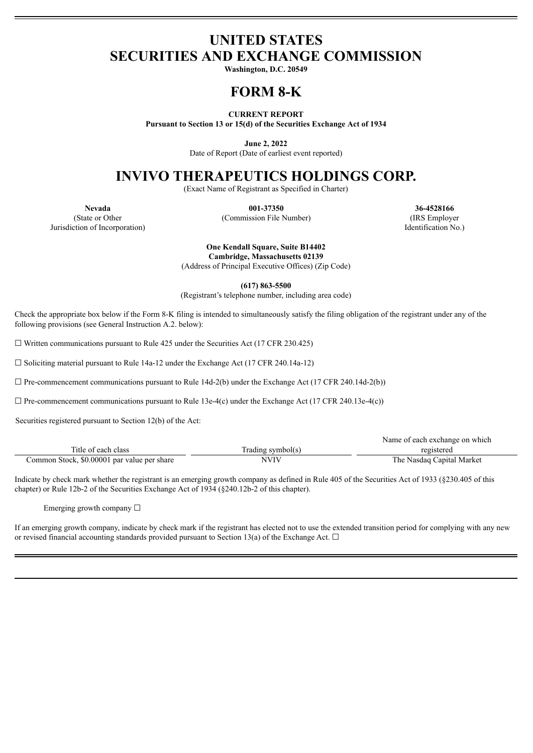## **UNITED STATES SECURITIES AND EXCHANGE COMMISSION**

**Washington, D.C. 20549**

# **FORM 8-K**

#### **CURRENT REPORT**

**Pursuant to Section 13 or 15(d) of the Securities Exchange Act of 1934**

**June 2, 2022**

Date of Report (Date of earliest event reported)

## **INVIVO THERAPEUTICS HOLDINGS CORP.**

(Exact Name of Registrant as Specified in Charter)

**Nevada 001-37350 36-4528166** (State or Other (Commission File Number) (IRS Employer Jurisdiction of Incorporation) Identification No.)

> **One Kendall Square, Suite B14402 Cambridge, Massachusetts 02139**

(Address of Principal Executive Offices) (Zip Code)

**(617) 863-5500**

(Registrant's telephone number, including area code)

Check the appropriate box below if the Form 8-K filing is intended to simultaneously satisfy the filing obligation of the registrant under any of the following provisions (see General Instruction A.2. below):

 $\Box$  Written communications pursuant to Rule 425 under the Securities Act (17 CFR 230.425)

 $\Box$  Soliciting material pursuant to Rule 14a-12 under the Exchange Act (17 CFR 240.14a-12)

 $\Box$  Pre-commencement communications pursuant to Rule 14d-2(b) under the Exchange Act (17 CFR 240.14d-2(b))

 $\Box$  Pre-commencement communications pursuant to Rule 13e-4(c) under the Exchange Act (17 CFR 240.13e-4(c))

Securities registered pursuant to Section 12(b) of the Act:

|                                             |                   | Name of each exchange on which |
|---------------------------------------------|-------------------|--------------------------------|
| Title of each class                         | Trading symbol(s) | registered                     |
| Common Stock, \$0.00001 par value per share | NVIV              | The Nasdaq Capital Market      |

Indicate by check mark whether the registrant is an emerging growth company as defined in Rule 405 of the Securities Act of 1933 (§230.405 of this chapter) or Rule 12b-2 of the Securities Exchange Act of 1934 (§240.12b-2 of this chapter).

Emerging growth company  $\Box$ 

If an emerging growth company, indicate by check mark if the registrant has elected not to use the extended transition period for complying with any new or revised financial accounting standards provided pursuant to Section 13(a) of the Exchange Act.  $\Box$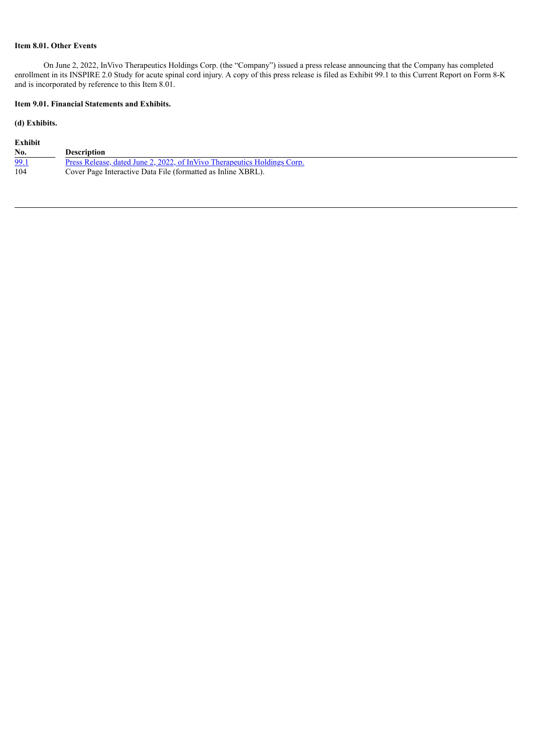## **Item 8.01. Other Events**

On June 2, 2022, InVivo Therapeutics Holdings Corp. (the "Company") issued a press release announcing that the Company has completed enrollment in its INSPIRE 2.0 Study for acute spinal cord injury. A copy of this press release is filed as Exhibit 99.1 to this Current Report on Form 8-K and is incorporated by reference to this Item 8.01.

## **Item 9.01. Financial Statements and Exhibits.**

### **(d) Exhibits.**

| Exhibit |                                                                                 |
|---------|---------------------------------------------------------------------------------|
| No.     | <b>Description</b>                                                              |
| 99.1    | <u>Press Release, dated June 2, 2022, of InVivo Therapeutics Holdings Corp.</u> |
| 104     | Cover Page Interactive Data File (formatted as Inline XBRL).                    |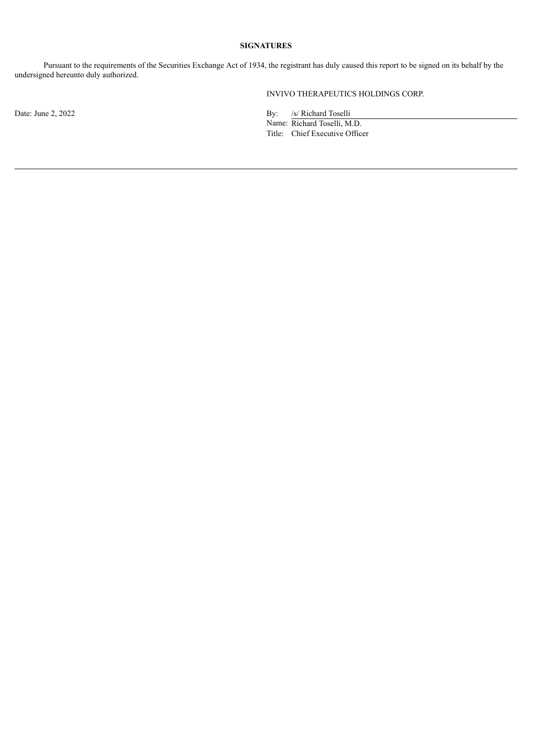### **SIGNATURES**

Pursuant to the requirements of the Securities Exchange Act of 1934, the registrant has duly caused this report to be signed on its behalf by the undersigned hereunto duly authorized.

INVIVO THERAPEUTICS HOLDINGS CORP.

Date: June 2, 2022 By: /s/ Richard Toselli

Name: Richard Toselli, M.D. Title: Chief Executive Officer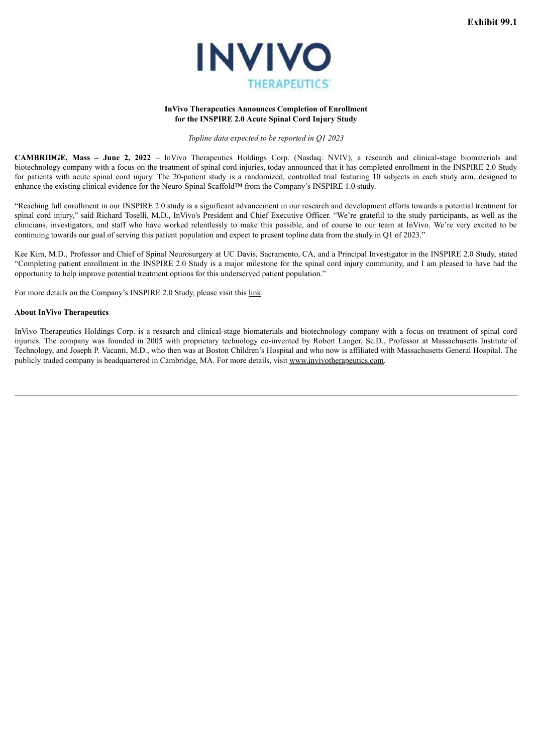

#### **InVivo Therapeutics Announces Completion of Enrollment for the INSPIRE 2.0 Acute Spinal Cord Injury Study**

*Topline data expected to be reported in Q1 2023*

<span id="page-3-0"></span>**CAMBRIDGE, Mass – June 2, 2022** – InVivo Therapeutics Holdings Corp. (Nasdaq: NVIV), a research and clinical-stage biomaterials and biotechnology company with a focus on the treatment of spinal cord injuries, today announced that it has completed enrollment in the INSPIRE 2.0 Study for patients with acute spinal cord injury. The 20-patient study is a randomized, controlled trial featuring 10 subjects in each study arm, designed to enhance the existing clinical evidence for the Neuro-Spinal Scaffold™ from the Company's INSPIRE 1.0 study.

"Reaching full enrollment in our INSPIRE 2.0 study is a significant advancement in our research and development efforts towards a potential treatment for spinal cord injury," said Richard Toselli, M.D., InVivo's President and Chief Executive Officer. "We're grateful to the study participants, as well as the clinicians, investigators, and staff who have worked relentlessly to make this possible, and of course to our team at InVivo. We're very excited to be continuing towards our goal of serving this patient population and expect to present topline data from the study in Q1 of 2023."

Kee Kim, M.D., Professor and Chief of Spinal Neurosurgery at UC Davis, Sacramento, CA, and a Principal Investigator in the INSPIRE 2.0 Study, stated "Completing patient enrollment in the INSPIRE 2.0 Study is a major milestone for the spinal cord injury community, and I am pleased to have had the opportunity to help improve potential treatment options for this underserved patient population."

For more details on the Company's INSPIRE 2.0 Study, please visit this link.

#### **About InVivo Therapeutics**

InVivo Therapeutics Holdings Corp. is a research and clinical-stage biomaterials and biotechnology company with a focus on treatment of spinal cord injuries. The company was founded in 2005 with proprietary technology co-invented by Robert Langer, Sc.D., Professor at Massachusetts Institute of Technology, and Joseph P. Vacanti, M.D., who then was at Boston Children's Hospital and who now is affiliated with Massachusetts General Hospital. The publicly traded company is headquartered in Cambridge, MA. For more details, visit www.invivotherapeutics.com.